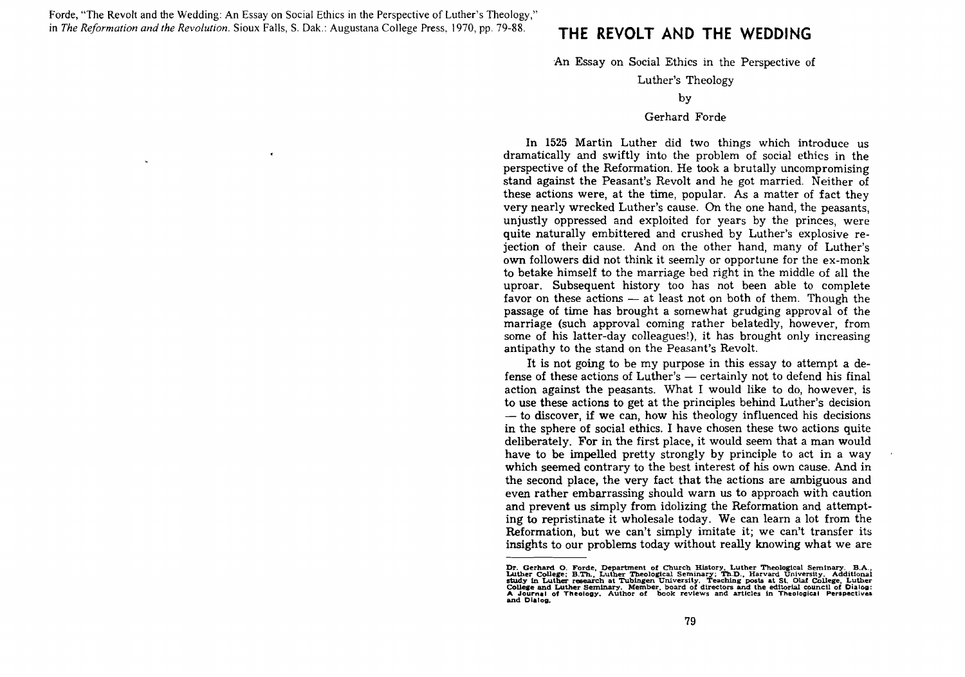Forde, "The Revolt and the Wedding: An Essay on Social Ethics in the Perspective of Luther's Theology," in *The Reformation and the Revolution.* Sioux Falls, S. Oak.: Augustana College Press, 1970, pp. 79-88. **THE REVOLT AND THE WEDDING** 

 $\epsilon$ 

An Essay on Social Ethics in the Perspective of

Luther's Theology

#### Gerhard Forde

In 1525 Martin Luther did two things which introduce us dramatically and swiftly into the problem of social ethics in the perspective of the Reformation. He took a brutally uncompromising stand against the Peasant's Revolt and he got married. Neither of these actions were, at the time, popular. As a matter of fact they very nearly wrecked Luther's cause. On the one hand, the peasants, unjustly oppressed and exploited for years by the princes, were quite naturally embittered and crushed by Luther's explosive rejection of their cause. And on the other hand, many of Luther's own followers did not think it seemly or opportune for the ex-monk to betake himself to the marriage bed right in the middle of all the uproar. Subsequent history too has not been able to complete favor on these actions  $-$  at least not on both of them. Though the passage of time has brought a somewhat grudging approval of the marriage (such approval coming rather belatedly, however, from some of his latter-day colleagues!), it has brought only increasing antipathy to the stand on the Peasant's Revolt.

It is not going to be my purpose in this essay to attempt a defense of these actions of Luther's — certainly not to defend his final action against the peasants. What I would like to do, however, is to use these actions to get at the principles behind Luther's decision  $-$  to discover, if we can, how his theology influenced his decisions in the sphere of social ethics. I have chosen these two actions quite deliberately. For in the first place, it would seem that a man would have to be impelled pretty strongly by principle to act in a way which seemed contrary to the best interest of his own cause. And in the second place, the very fact that the actions are ambiguous and even rather embarrassing should warn us to approach with caution and prevent us simply from idolizing the Reformation and attempting to repristinate it wholesale today. We can learn a lot from the Reformation, but we can't simply imitate it; we can't transfer its insights to our problems today without really knowing what we are

by

Dr. Gerhard O. Forde, Department of Church History, Luther Theological Seminary. B.A., Luther College; B.Th., Luther Theological Seminary; Th.D., Harvard University. Additional study in Luther research at Tubingen Universi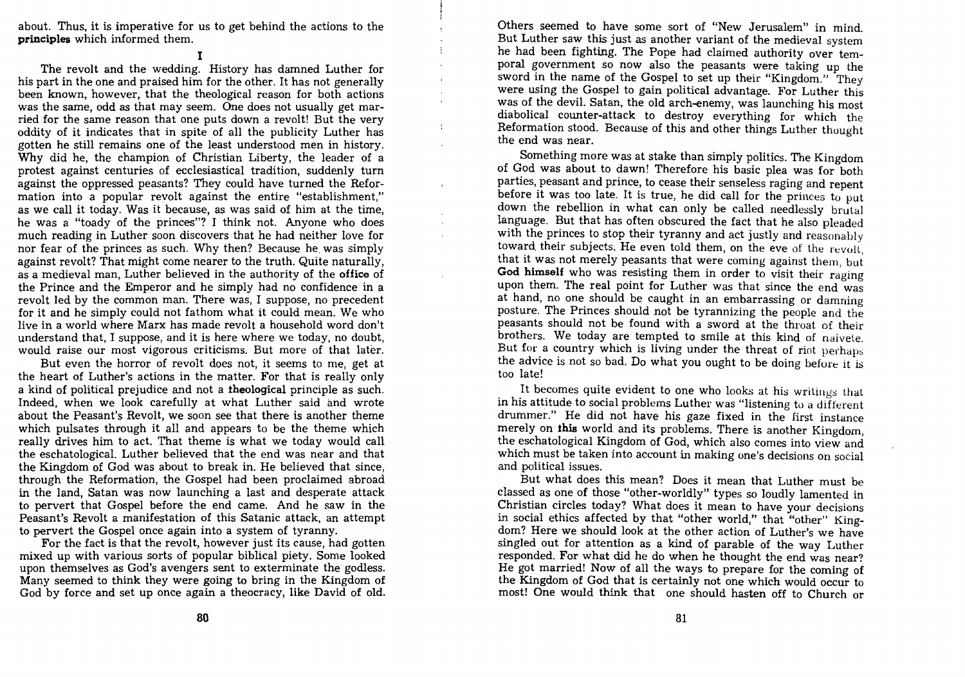about. Thus, it is imperative for us to get behind the actions to the **principles** which informed them. I

The revolt and the wedding. History has damned Luther for his part in the one and praised him for the other. It has not generally been known, however, that the theological reason for both actions was the same, odd as that may seem. One does not usually get married for the same reason that one puts down a revolt! But the very oddity of it indicates that in spite of all the publicity Luther has gotten he still remains one of the least understood men in history. Why did he, the champion of Christian Liberty, the leader of a protest against centuries of ecclesiastical tradition, suddenly turn against the oppressed peasants? They could have turned the Reformation into a popular revolt against the entire "establishment," as we call it today. Was it because, as was said of him at the time, he was a "toady of the princes"? I think not. Anyone who does much reading in Luther soon discovers that he had neither love for nor fear of the princes as such. Why then? Because he. was simply against revolt? That might come nearer to the truth. Quite naturally, as a medieval man, Luther believed in the authority of the **office** of the Prince and the Emperor and he simply had no confidence in a revolt led by the common man. There was, I suppose, no precedent for it and he simply could not fathom what it could mean. We who live in a world where Marx has made revolt a household word don't understand that, I suppose, and it is here where we today, no doubt, would raise our most vigorous criticisms. But more of that later.

But even the horror of revolt does not, it seems to me, get at the heart of Luther's actions in the matter. For that is really only a kind of political prejudice and not a **theological** principle as such. Indeed, when we look carefully at what Luther said and wrote about the Peasant's Revolt, we soon see that there is another theme which pulsates through it all and appears to be the theme which really drives him to act. That theme is what we today would call the eschatological. Luther believed that the end was near and that the Kingdom of God was about to break in. He believed that since, through the Reformation, the Gospel had been proclaimed abroad in the land, Satan was now launching a last and desperate attack to pervert that Gospel before the end came. And he saw in the Peasant's Revolt a manifestation of this Satanic attack, an attempt to pervert the Gospel once again into a system of tyranny.

For the fact is that the revolt, however just its cause, had gotten mixed up with various sorts of popular biblical piety. Some looked upon themselves as God's avengers sent to exterminate the godless. Many seemed to think they were going to bring in the Kingdom of God by force and set up once again a theocracy, like David of old.

Others seemed to have some sort of "New Jerusalem" in mind. But Luther saw this just as another variant of the medieval system he had been fighting. The Pope had claimed authority over temporal government so now also the peasants were taking up the sword in the name of the Gospel to set up their "Kingdom." They were using the Gospel to gain political advantage. For Luther this was of the devil. Satan, the old arch-enemy, was launching his most diabolical counter-attack to destroy everything for which the Reformation stood. Because of this and other things Luther thought the end was near.

 $\frac{1}{2}$ 

Something more was at stake than simply politics. The Kingdom of God was about to dawn! Therefore his basic plea was for both parties, peasant and prince, to cease their senseless raging and repent before it was too late. It is true, he did call for the princes to put down the rebellion in what can only be called needlessly brutal language. But that has often obscured the fact that he also pleaded with the princes to stop their tyranny and act justly and reasonably toward their subjects. He even told them, on the eve of the revolt. that it was not merely peasants that were coming against them, but **God himself** who was resisting them in order to visit their raging upon them. The real point for Luther was that since the end was at hand, no one should be caught in an embarrassing or damning posture. The Princes should not be tyrannizing the people and the peasants should not be found with a sword at the throat of their brothers. We today are tempted to smile at this kind of naivete. But for a country which is living under the threat of riot perhaps the advice is not so bad. Do what you ought to be doing before it is too late!

It becomes quite evident to one who looks at his writings that in his attitude to social problems Luther was "listening to a different drummer." He did not have his gaze fixed in the first instance merely on **this** world and its problems. There is another Kingdom, the eschatological Kingdom of God, which also comes into view and which must be taken into account in making one's decisions on social and political issues.

But what does this mean? Does it mean that Luther must be classed as one of those "other-worldly" types so loudly lamented in Christian circles today? What does it mean to have your decisions in social ethics affected by that "other world," that "other" Kingdom? Here we should look at the other action of Luther's we have singled out for attention as a kind of parable of the way Luther responded. For what did he do when he thought the end was near? He got married! Now of all the ways to prepare for the coming of the Kingdom of God that is certainly not one which would occur to most! One would think that one should hasten off to Church or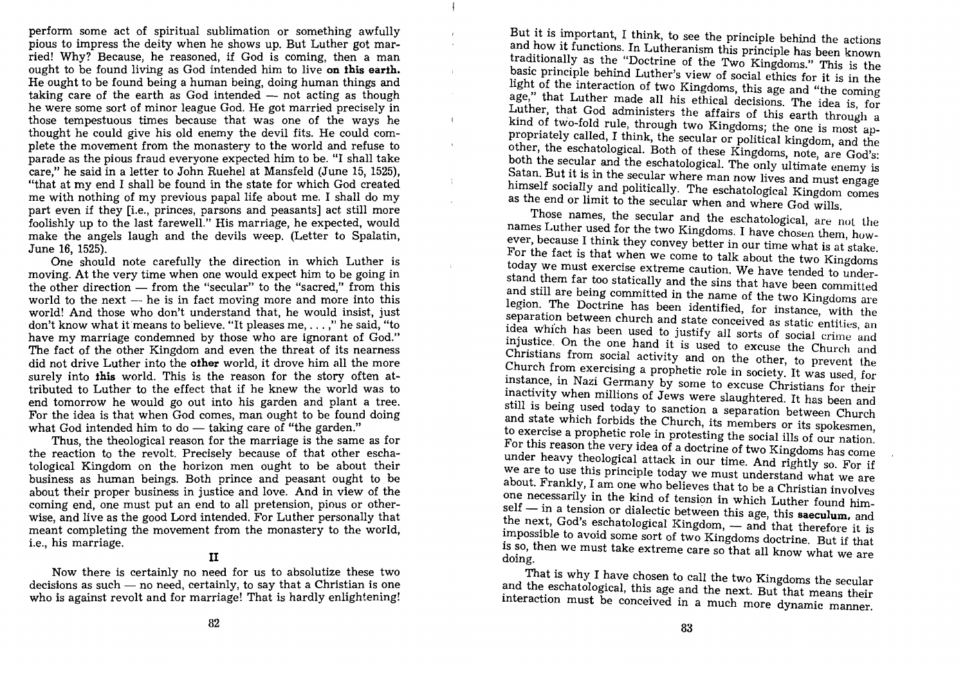perform some act of spiritual sublimation or something awfully pious to impress the deity when he shows up. But Luther got married! Why? Because, he reasoned, if God is coming, then a man ought to be found living as God intended him to live **on this earth.**  He ought to be found being a human being, doing human things and taking care of the earth as God intended  $-$  not acting as though he were some sort of minor league God. He got married precisely in those tempestuous times because that was one of the ways he thought he could give his old enemy the devil fits. He could complete the movement from the monastery to the world and refuse to parade as the pious fraud everyone expected him to be. "I shall take care," he said in a letter to John Ruehel at Mansfeld (June 15, 1525), "that at my end I shall be found in the state for which God created me with nothing of my previous papal life about me. I shall do my part even if they [i.e., princes, parsons and peasants] act still more foolishly up to the last farewell." His marriage, he expected, would make the angels laugh and the devils weep. (Letter to Spalatin, June 16, 1525).

 $\mathbf{r}$ 

 $\bar{1}$ 

 $\mathbf{I}$ 

 $\mathbf{r}$ 

One should note carefully the direction in which Luther is moving. At the very time when one would expect him to be going in the other direction  $-$  from the "secular" to the "sacred." from this world to the next  $-$  he is in fact moving more and more into this world! And those who don't understand that, he would insist, just don't know what it'means to believe. "It pleases me, ... ," he said, "to have my marriage condemned by those who are ignorant of God." The fact of the other Kingdom and even the threat of its nearness did not drive Luther into the **other** world, it drove him all the more surely into **this** world. This is the reason for the story often attributed to Luther to the effect that if he knew the world was to end tomorrow he would go out into his garden and plant a tree. For the idea is that when God comes, man ought to be found doing what God intended him to do  $-$  taking care of "the garden."

Thus, the theological reason for the marriage is the same as for the reaction to the revolt. Precisely because of that other eschatological Kingdom on the horizon men ought to be about their business as human beings. Both prince and peasant ought to be about their proper business in justice and love. And in view of the coming end, one must put an end to all pretension, pious or otherwise, and live as the good Lord intended. For Luther personally that meant completing the movement from the monastery to the world, i.e., his marriage.

# II

Now there is certainly no need for us to absolutize these two  $decisions$  as such  $-$  no need, certainly, to say that a Christian is one who is against revolt and for marriage! That is hardly enlightening!

But it is important, I think, to see the principle behind the actions and how it functions. In Lutheranism this principle has been known traditionally as the "Doctrine of the Two Kingdoms." This is the basic principle behind Luther's view of social ethics for it is in the light of the interaction of two Kingdoms, this age and "the coming age," that Luther made all his ethical decisions. The idea is, for Luther, that God administers the affairs of this earth through a kind of two-fold rule, through two Kingdoms; the one is most appropriately called, I think, the secular or political kingdom, and the other, the eschatological. Both of these Kingdoms, note, are God's: both the secular and the eschatological. The only ultimate enemy is Satan. But it is in the secular where man now lives and must engage himself socially and politically. The eschatological Kingdom comes as the end or limit to the secular when and Where God wills.

Those names, the secular and the eschatological, are not the names Luther used for the two Kingdoms. I have chosen them, however, because I think they convey better in our time what is at stake. For the fact is that when we come to talk about the two Kingdoms today we must exercise extreme caution. We have tended to understand them far too statically and the sins that have been committed and still are being committed in the name of the two Kingdoms are legion. The Doctrine has been identified, for instance, with the separation between church and state conceived as static entities, an idea which has been used to justify all sorts of social crime and injustice. On the one hand it is used to excuse the Church and Christians from social activity and on the other, to prevent the Church from exercising a prophetic role in society. It was used, for instance, in Nazi Germany by some to excuse Christians for their inactivity when millions of Jews were slaughtered. It has been and still is being used today to sanction a separation between Church and state which forbids the Church, its members or its spokesmen, to exercise a prophetic role in protesting the social ills of our nation. For this reason the very idea of a doctrine of two Kingdoms has come under heavy theological attack in our time. And rightly so. For if we are to use this principle today we must understand what we are about. Frankly, I am one who believes that to be a Christian involves one necessarily in the kind of tension in which Luther found himself - in a tension or dialectic between this age, this saeculum, and the next, God's eschatological Kingdom, - and that therefore it is impossible to avoid some sort of two Kingdoms doctrine. But if that is so, then we must take extreme care so that all know what we are doing.

That is why I have chosen to call the two Kingdoms the secular and the eschatological, this age and the next. But that means their interaction must be conceived in a much more dynamic manner.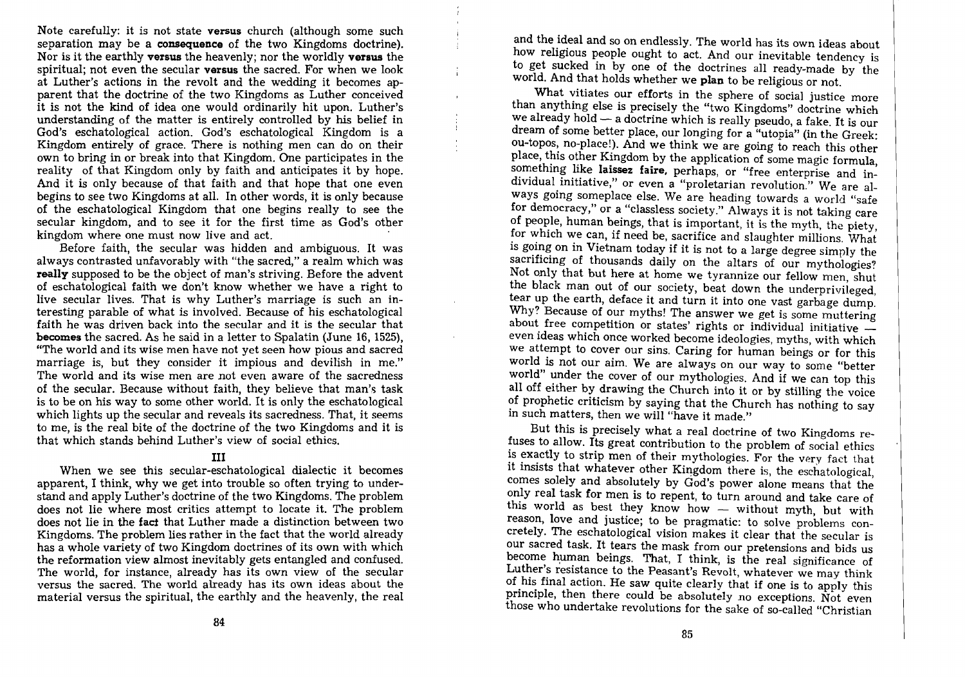Note carefully: it is not state versus church (although some such separation may be a consequence of the two Kingdoms doctrine). Nor is it the earthly versus the heavenly; nor the worldly versus the spiritual; not even the secular **versus** the sacred. For when we look at Luther's actions in the revolt and the wedding it becomes apparent that the doctrine of the two Kingdoms as Luther conceived it is not the kind of idea one would ordinarily hit upon. Luther's understanding of the matter is entirely controlled by his belief in God's eschatological action. God's eschatological Kingdom is a Kingdom entirely of grace. There is nothing men can do on their own to bring in or break into that Kingdom. One participates in the reality of that Kingdom only by faith and anticipates it by hope. And it is only because of that faith and that hope that one even begins to see two Kingdoms at all. In other words, it is only because of the eschatological Kingdom that one begins really to see the secular kingdom, and to see it for the first time as God's otber kingdom where one must now live and act. .

Before faith, the secular was hidden and ambiguous. It was always contrasted unfavorably with "the sacred," a realm which was really supposed to be the object of man's striving. Before the advent of eschatological faith we don't know whether we have a right to live secular lives. That is why Luther's marriage is such an interesting parable of what is involved. Because of his eschatological faith he was driven back into the secular and it is the secular that becomes the sacred. As he said in a letter to Spalatin (June 16, 1525), "The world and its wise men have not yet seen how pious and sacred marriage is, but they consider it impious and devilish in me." The world and its wise men are not even aware of the sacredness of the secular. Because without faith, they believe that man's task is to be on his way to some other world. It is only the eschatological which lights up the secular and reveals its sacredness. That, it seems to me, is the real bite of the doctrine of the two Kingdoms and it is that which stands behind Luther's view of social ethics.

## III

When we see this secular-eschatological dialectic it becomes apparent, I think, why we get into trouble so often trying to understand and apply Luther's doctrine of the two Kingdoms. The problem does not lie where most critics attempt to locate it. The problem does not lie in the fact that Luther made a distinction between two Kingdoms. The problem lies rather in the fact that the world already has a whole variety of two Kingdom doctrines of its own with which the reformation view almost inevitably gets entangled and confused. The world, for instance, already has its own view of the secular versus the sacred. The world already has its own ideas about the material versus the spiritual, the earthly and the heavenly, the real

and the ideal and so on endlessly. The world has its own ideas about how religious people ought to act. And our inevitable tendency is to get sucked in by one of the doctrines all ready-made by the world. And that holds whether we plan to be religious or not.

What vitiates our efforts in the sphere of social justice more than anything else is precisely the "two Kingdoms" doctrine which we already hold - a doctrine which is really pseudo, a fake. It is our dream of some better place, our longing for a "utopia" (in the Greek: ou-topos, no-place!). And we think we are going to reach this other place, this other Kingdom by the application of some magic formula, something like laissez faire, perhaps, or "free enterprise and individual initiative," or even a "proletarian revolution." We are always going someplace else. We are heading towards a world "safe for democracy," or a "classless society." Always it is not taking care of people, human beings, that is important, it is the myth, the piety, for which we can, if need be, sacrifice and slaughter millions. What is going on in Vietnam today if it is not to a large degree simply the sacrificing of thousands daily on the altars of our mythologies? Not only that but here at home we tyrannize our fellow men, shut the black man out of our society, beat down the underprivileged, tear up the earth, deface it and turn it into one vast garbage dump. Why? Because of our myths! The answer we get is some muttering about free competition or states' rights or individual initiative even ideas which once worked become ideologies, myths, with which we attempt to cover our sins. Caring for human beings or for this world is not our aim. We are always on our way to some "better world" under the cover of our mythologies. And if we can top this all off either by drawing the Church into it or by stilling the voice of prophetic criticism by saying that the Church has nothing to say in such matters, then we will "have it made."

But this is precisely what a real doctrine of two Kingdoms refuses to allow. Its great contribution to the problem of social ethics is exactly to strip men of their mythologies. For the very fact that it insists that whatever other Kingdom there is, the eschatological, comes solely and absolutely by God's power alone means that the only real task for men is to repent, to turn around and take care of this world as best they know how - without myth, but with reason, love and justice; to be pragmatic: to solve problems concretely. The eschatological vision makes it clear that the secular is our sacred task. It tears the mask from our pretensions and bids us become human beings. That, I think, is the real significance of Luther's resistance to the Peasant's Revolt, whatever we may think of his final action. He saw quite clearly that if one is to apply this principle, then there could be absolutely no exceptions. Not even those who undertake revolutions for the sake of so-called "Christian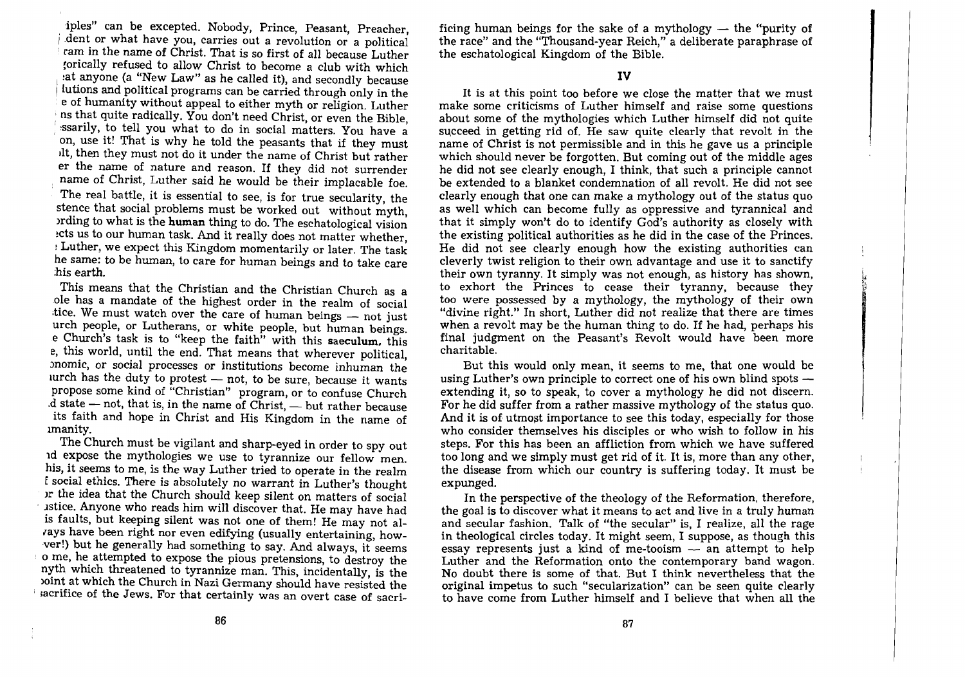iples" can be excepted. Nobody, Prince, Peasant, Preacher, dent or what have you, carries out a revolution or a political : ram in the name of Christ. That is so first of all because Luther torically refused to allow Christ to become a club with which at anyone (a "New Law" as he called it), and secondly because lutions and political programs can be carried through only in the e of humanity without appeal to either myth or religion. Luther ns that quite radically. You don't need Christ, or even the Bible, ssarily, to tell you what to do in social matters. You have a , on, use it! That is why he told the peasants that if they must lIt, then they must not do it under the name of Christ but rather er the name of nature and reason. If they did not surrender name of Christ, Luther said he would be their implacable foe. The real battle, it is essential to see, is for true secularity, the stence that social problems must be worked out without myth, lrding to what is the **human** thing to do. The eschatological vision ects us to our human task. And it really does not matter whether, Luther, we expect this Kingdom momentarily or later. The task he same: to be human, to care for human beings and to take care his earth.

This means that the Christian and the Christian Church as a ole has a mandate of the highest order in the realm of social tice. We must watch over the care of human beings - not just urch people, or Lutherans, or white people, but human beings. e Church's task is to "keep the faith" with this **saeculum,** this e, this world, until the end. That means that wherever political, )nomic, or social processes or institutions become inhuman the lurch has the duty to protest  $-$  not, to be sure, because it wants propose some kind of "Christian" program, or to confuse Church  $d$  state  $-$  not, that is, in the name of Christ,  $-$  but rather because its faith and hope in Christ and His Kingdom in the name of unanity.

The Church must be vigilant and sharp-eyed in order to spy out ld expose the mythologies we use to tyrannize our fellow men. his, it seems to me, is the way Luther tried to operate in the realm *<sup>E</sup>*social ethics. There is absolutely no warrant in Luther's thought or the idea that the Church should keep silent on matters of social . lstice. Anyone who reads him will discover that. He may have had is faults, but keeping silent was not one of them! He may not alrays have been right nor even edifying (usually entertaining, howver!) but he generally had something to say. And always, it seems o me, he attempted to expose the pious pretensions, to destroy the nyth which threatened to tyrannize man. This, incidentally, is the loint at which the Church in Nazi Germany should have resisted the sacrifice of the Jews. For that certainly was an overt case of sacri-

ficing human beings for the sake of a mythology  $-$  the "purity of the race" and the "Thousand-year Reich," a deliberate paraphrase of the eschatological Kingdom of the Bible.

### **IV**

It is at this point too before we close the matter that we must make some criticisms of Luther himself and raise some questions about some of the mythologies which Luther himself did not quite succeed in getting rid of. He saw quite clearly that revolt in the name of Christ is not permissible and in this he gave us a principle which should never be forgotten. But coming out of the middle ages he did not see clearly enough, I think, that such a principle cannot be extended to a blanket condemnation of all revolt. He did not see clearly enough that one can make a mythology out of the status quo as well which can become fully as oppressive and tyrannical and that it simply won't do to identify God's authority as closely with the existing political authorities as he did in the case of the Princes. He did not see clearly enough how the existing authorities can cleverly twist religion to their own advantage and use it to sanctify their own tyranny. It simply was not enough, as history has shown, to exhort the Princes to cease their tyranny, because they too were possessed by a mythology, the mythology of their own "divine right." In short, Luther did not realize that there are times when a revolt may be the human thing to do. If he had, perhaps his final judgment on the Peasant's Revolt would have been more charitable.

But this would only mean, it seems to me, that one would be using Luther's own principle to correct one of his own blind spots  $$ extending it, so to speak, to cover a mythology he did not discern. For he did suffer from a rather massive mythology of the status quo. And it is of utmost importance to see this today, especially for those who consider themselves his disciples or who wish to follow in his steps. For this has been an affliction from which we have suffered too long and we simply must get rid of it. It is, more than any other, the disease from which our country is suffering today. It must be expunged.

In the perspective of the theology of the Reformation, therefore, the goal is to discover what it means to act and live in a truly human and secular fashion. Talk of "the secular" is, I realize, all the rage in theological circles today. It might seem, I suppose, as though this essay represents just a kind of me-tooism  $-$  an attempt to help Luther and the Reformation onto the contemporary band wagon. No doubt there is some of that. But I think nevertheless that the original impetus to such "secularization" can be seen quite clearly to have come from Luther himself and I believe that when all the